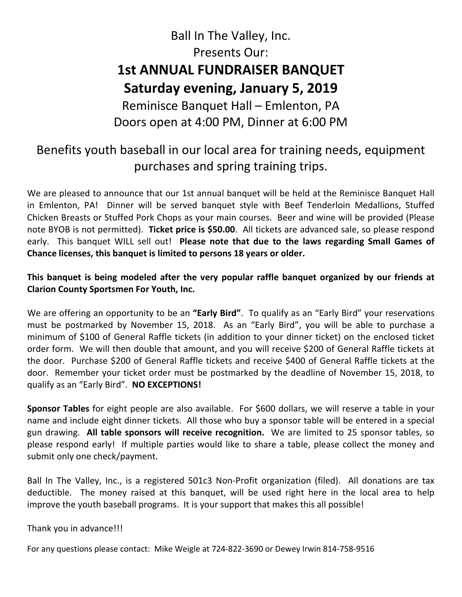## Ball In The Valley, Inc. Presents Our: **1st ANNUAL FUNDRAISER BANQUET Saturday evening, January 5, 2019**  Reminisce Banquet Hall – Emlenton, PA Doors open at 4:00 PM, Dinner at 6:00 PM

### Benefits youth baseball in our local area for training needs, equipment purchases and spring training trips.

We are pleased to announce that our 1st annual banquet will be held at the Reminisce Banquet Hall in Emlenton, PA! Dinner will be served banquet style with Beef Tenderloin Medallions, Stuffed Chicken Breasts or Stuffed Pork Chops as your main courses. Beer and wine will be provided (Please note BYOB is not permitted). **Ticket price is \$50.00**. All tickets are advanced sale, so please respond early. This banquet WILL sell out! **Please note that due to the laws regarding Small Games of Chance licenses, this banquet is limited to persons 18 years or older.**

#### **This banquet is being modeled after the very popular raffle banquet organized by our friends at Clarion County Sportsmen For Youth, Inc.**

We are offering an opportunity to be an **"Early Bird"**. To qualify as an "Early Bird" your reservations must be postmarked by November 15, 2018. As an "Early Bird", you will be able to purchase a minimum of \$100 of General Raffle tickets (in addition to your dinner ticket) on the enclosed ticket order form. We will then double that amount, and you will receive \$200 of General Raffle tickets at the door. Purchase \$200 of General Raffle tickets and receive \$400 of General Raffle tickets at the door. Remember your ticket order must be postmarked by the deadline of November 15, 2018, to qualify as an "Early Bird". **NO EXCEPTIONS!**

**Sponsor Tables** for eight people are also available. For \$600 dollars, we will reserve a table in your name and include eight dinner tickets. All those who buy a sponsor table will be entered in a special gun drawing. **All table sponsors will receive recognition.** We are limited to 25 sponsor tables, so please respond early! If multiple parties would like to share a table, please collect the money and submit only one check/payment.

Ball In The Valley, Inc., is a registered 501c3 Non-Profit organization (filed). All donations are tax deductible. The money raised at this banquet, will be used right here in the local area to help improve the youth baseball programs. It is your support that makes this all possible!

Thank you in advance!!!

For any questions please contact: Mike Weigle at 724-822-3690 or Dewey Irwin 814-758-9516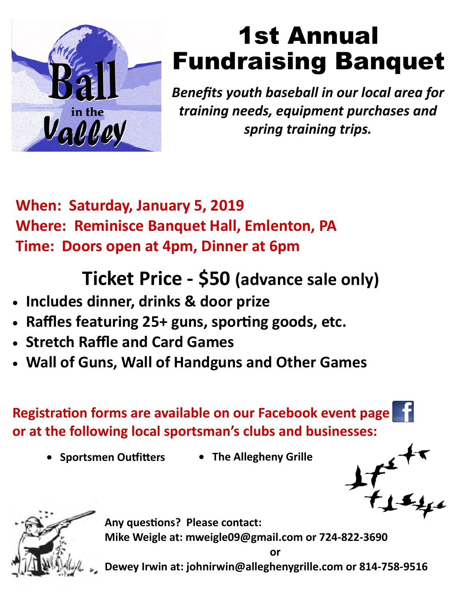

# 1st Annual Fundraising Banquet

*Benefits youth baseball in our local area for training needs, equipment purchases and spring training trips.* 

**When: Saturday, January 5, 2019 Where: Reminisce Banquet Hall, Emlenton, PA Time: Doors open at 4pm, Dinner at 6pm** 

## **Ticket Price - \$50 (advance sale only)**

- **Includes dinner, drinks & door prize**
- **Raffles featuring 25+ guns, sporƟng goods, etc.**
- **Stretch Raffle and Card Games**
- **Wall of Guns, Wall of Handguns and Other Games**

**Registration forms are available on our Facebook event page or at the following local sportsman's clubs and businesses:** 

- **Sportsmen OuƞiƩers The Allegheny Grille**
- 





**Any quesƟons? Please contact: Mike Weigle at: mweigle09@gmail.com or 724-822-3690 or** 

**Dewey Irwin at: johnirwin@alleghenygrille.com or 814-758-9516**